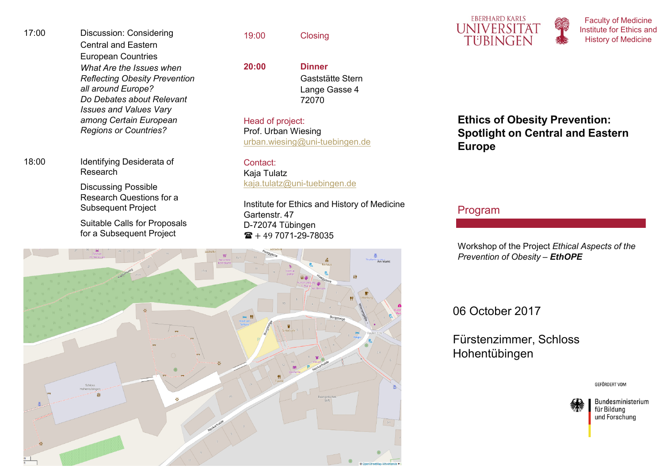17:00 Discussion: Considering Central and Eastern European Countries *What Are the Issues when Reflecting Obesity Prevention all around Europe? Do Debates about Relevant Issues and Values Vary among Certain European Regions or Countries?* 

18:00 Identifying Desiderata of Research

> Discussing Possible Research Questions for a Subsequent Project

Suitable Calls for Proposals for a Subsequent Project

19:00 Closing

**20:00 Dinner** 

Gaststätte Stern Lange Gasse 472070

Head of project: Prof. Urban Wiesingurban.wiesing@uni-tuebingen.de

Contact: Kaja Tulatzkaja.tulatz@uni-tuebingen.de

Institute for Ethics and History of Medicine Gartenstr. 47D-72074 Tübingen





Faculty of Medicine Institute for Ethics and History of Medicine

**Ethics of Obesity Prevention: Spotlight on Central and Eastern Europe**

Program

Workshop of the Project *Ethical Aspects of the Prevention of Obesity* – *EthOPE*

06 October 2017

Fürstenzimmer, SchlossHohentübingen

**GEFÖRDERT VOM**